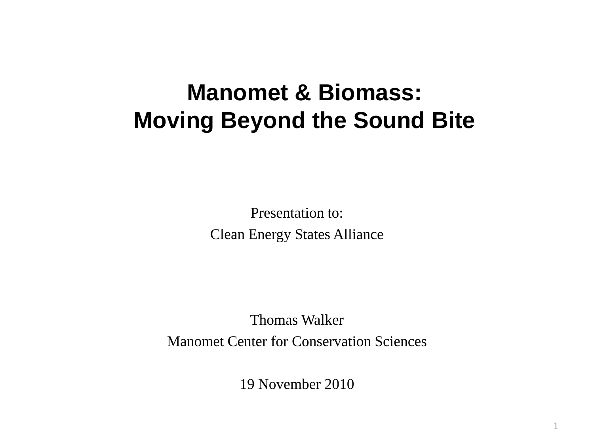# **Manomet & Biomass: Moving Beyond the Sound Bite**

Presentation to: Clean Energy States Alliance

Thomas Walker Manomet Center for Conservation Sciences

19 November 2010

1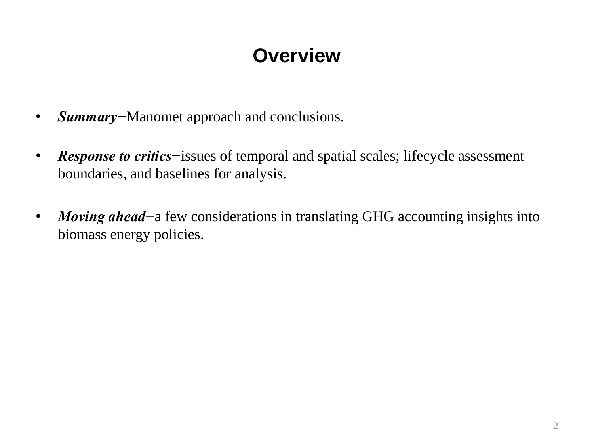### **Overview**

- *Summary−*Manomet approach and conclusions.
- *Response to critics−*issues of temporal and spatial scales; lifecycle assessment boundaries, and baselines for analysis.
- *Moving ahead−*a few considerations in translating GHG accounting insights into biomass energy policies.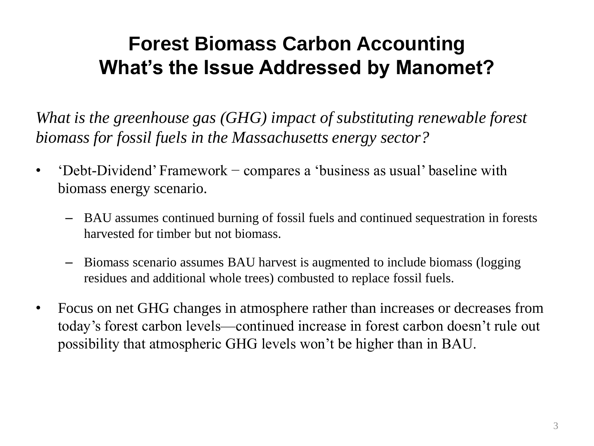# **Forest Biomass Carbon Accounting What's the Issue Addressed by Manomet?**

*What is the greenhouse gas (GHG) impact of substituting renewable forest biomass for fossil fuels in the Massachusetts energy sector?*

- 'Debt-Dividend' Framework compares a 'business as usual' baseline with biomass energy scenario.
	- BAU assumes continued burning of fossil fuels and continued sequestration in forests harvested for timber but not biomass.
	- Biomass scenario assumes BAU harvest is augmented to include biomass (logging residues and additional whole trees) combusted to replace fossil fuels.
- Focus on net GHG changes in atmosphere rather than increases or decreases from today's forest carbon levels—continued increase in forest carbon doesn't rule out possibility that atmospheric GHG levels won't be higher than in BAU.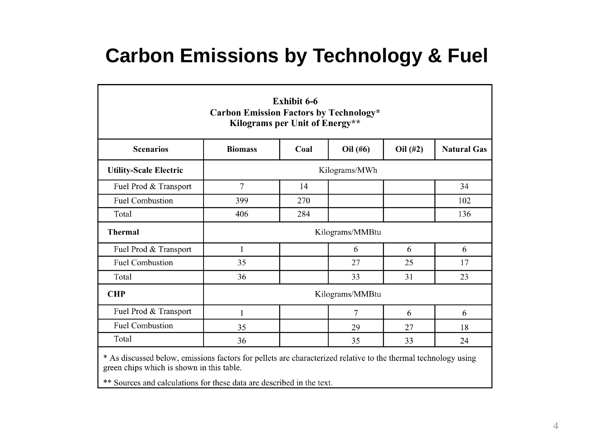### **Carbon Emissions by Technology & Fuel**

| <b>Exhibit 6-6</b><br><b>Carbon Emission Factors by Technology*</b><br>Kilograms per Unit of Energy**          |                 |      |          |          |                    |  |  |
|----------------------------------------------------------------------------------------------------------------|-----------------|------|----------|----------|--------------------|--|--|
| <b>Scenarios</b>                                                                                               | <b>Biomass</b>  | Coal | Oil (#6) | Oil (#2) | <b>Natural Gas</b> |  |  |
| <b>Utility-Scale Electric</b>                                                                                  | Kilograms/MWh   |      |          |          |                    |  |  |
| Fuel Prod & Transport                                                                                          | $\overline{7}$  | 14   |          |          | 34                 |  |  |
| <b>Fuel Combustion</b>                                                                                         | 399             | 270  |          |          | 102                |  |  |
| Total                                                                                                          | 406             | 284  |          |          | 136                |  |  |
| <b>Thermal</b>                                                                                                 | Kilograms/MMBtu |      |          |          |                    |  |  |
| Fuel Prod & Transport                                                                                          | 1               |      | 6        | 6        | 6                  |  |  |
| <b>Fuel Combustion</b>                                                                                         | 35              |      | 27       | 25       | 17                 |  |  |
| Total                                                                                                          | 36              |      | 33       | 31       | 23                 |  |  |
| <b>CHP</b>                                                                                                     | Kilograms/MMBtu |      |          |          |                    |  |  |
| Fuel Prod & Transport                                                                                          | 1               |      | 7        | 6        | 6                  |  |  |
| <b>Fuel Combustion</b>                                                                                         | 35              |      | 29       | 27       | 18                 |  |  |
| Total                                                                                                          | 36              |      | 35       | 33       | 24                 |  |  |
| * As discussed below, emissions factors for pellets are characterized relative to the thermal technology using |                 |      |          |          |                    |  |  |

green chips which is shown in this table.

\*\* Sources and calculations for these data are described in the text.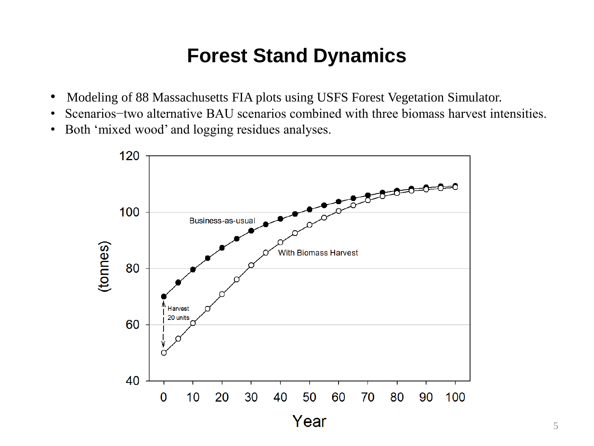#### **Forest Stand Dynamics**

- Modeling of 88 Massachusetts FIA plots using USFS Forest Vegetation Simulator.
- Scenarios−two alternative BAU scenarios combined with three biomass harvest intensities.
- Both 'mixed wood' and logging residues analyses.

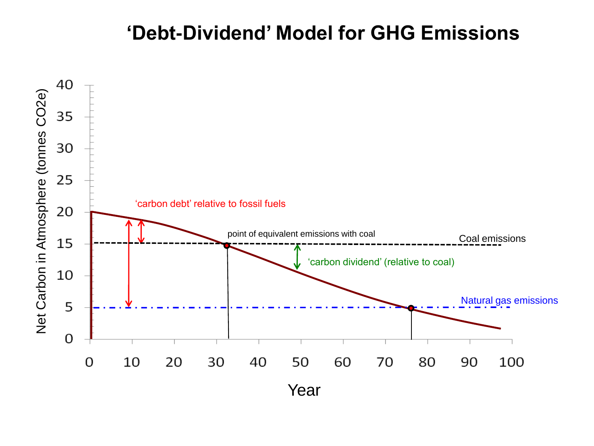#### **'Debt-Dividend' Model for GHG Emissions**

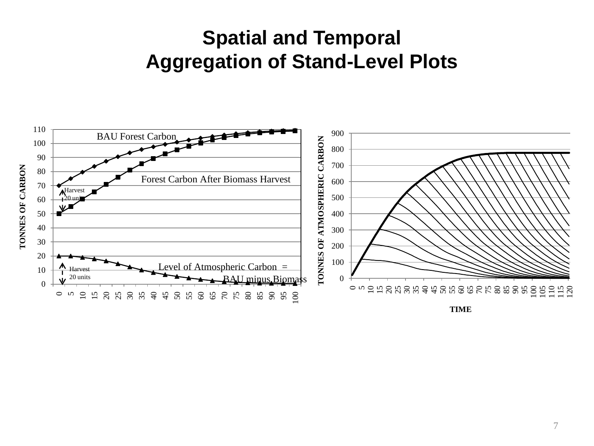### **Spatial and Temporal Aggregation of Stand-Level Plots**

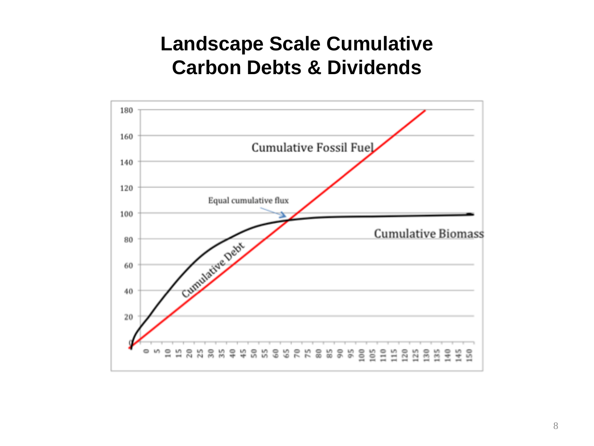### **Landscape Scale Cumulative Carbon Debts & Dividends**

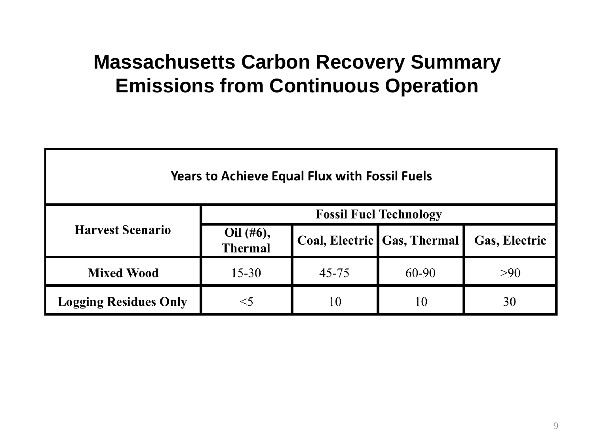### **Massachusetts Carbon Recovery Summary Emissions from Continuous Operation**

| <b>Years to Achieve Equal Flux with Fossil Fuels</b> |                               |           |                               |               |  |  |  |  |
|------------------------------------------------------|-------------------------------|-----------|-------------------------------|---------------|--|--|--|--|
| <b>Harvest Scenario</b>                              | <b>Fossil Fuel Technology</b> |           |                               |               |  |  |  |  |
|                                                      | Oil (#6),<br><b>Thermal</b>   |           | Coal, Electric   Gas, Thermal | Gas, Electric |  |  |  |  |
| <b>Mixed Wood</b>                                    | $15 - 30$                     | $45 - 75$ | 60-90                         | >90           |  |  |  |  |
| <b>Logging Residues Only</b>                         |                               | 10        | 10                            | 30            |  |  |  |  |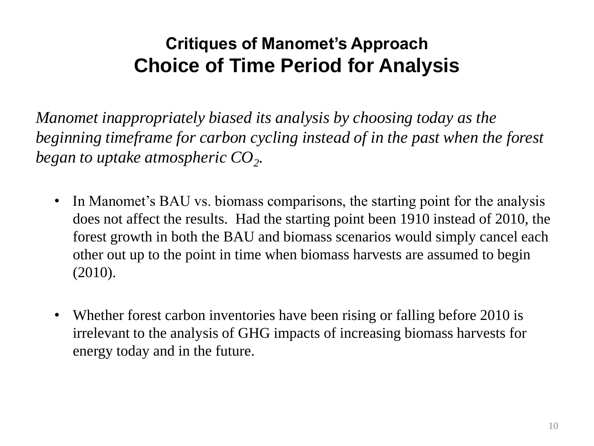### **Critiques of Manomet's Approach Choice of Time Period for Analysis**

*Manomet inappropriately biased its analysis by choosing today as the beginning timeframe for carbon cycling instead of in the past when the forest began to uptake atmospheric CO<sup>2</sup> .*

- In Manomet's BAU vs. biomass comparisons, the starting point for the analysis does not affect the results. Had the starting point been 1910 instead of 2010, the forest growth in both the BAU and biomass scenarios would simply cancel each other out up to the point in time when biomass harvests are assumed to begin (2010).
- Whether forest carbon inventories have been rising or falling before 2010 is irrelevant to the analysis of GHG impacts of increasing biomass harvests for energy today and in the future.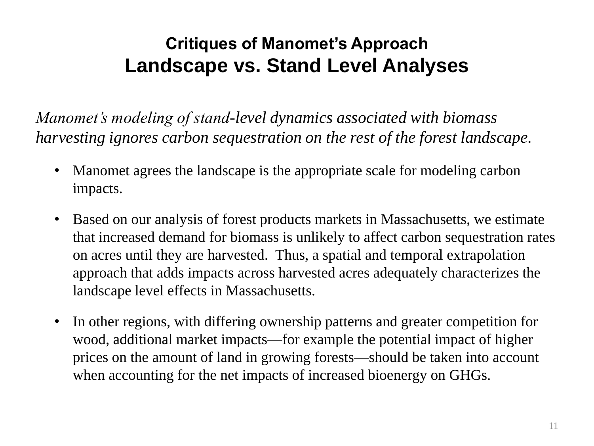### **Critiques of Manomet's Approach Landscape vs. Stand Level Analyses**

*Manomet's modeling of stand-level dynamics associated with biomass harvesting ignores carbon sequestration on the rest of the forest landscape.*

- Manomet agrees the landscape is the appropriate scale for modeling carbon impacts.
- Based on our analysis of forest products markets in Massachusetts, we estimate that increased demand for biomass is unlikely to affect carbon sequestration rates on acres until they are harvested. Thus, a spatial and temporal extrapolation approach that adds impacts across harvested acres adequately characterizes the landscape level effects in Massachusetts.
- In other regions, with differing ownership patterns and greater competition for wood, additional market impacts—for example the potential impact of higher prices on the amount of land in growing forests—should be taken into account when accounting for the net impacts of increased bioenergy on GHGs.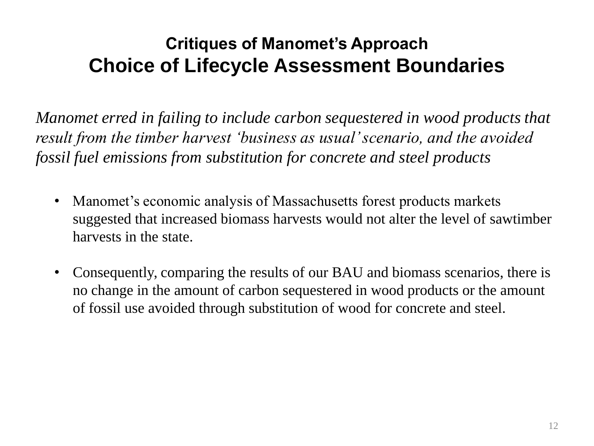### **Critiques of Manomet's Approach Choice of Lifecycle Assessment Boundaries**

*Manomet erred in failing to include carbon sequestered in wood products that result from the timber harvest 'business as usual' scenario, and the avoided fossil fuel emissions from substitution for concrete and steel products*

- Manomet's economic analysis of Massachusetts forest products markets suggested that increased biomass harvests would not alter the level of sawtimber harvests in the state.
- Consequently, comparing the results of our BAU and biomass scenarios, there is no change in the amount of carbon sequestered in wood products or the amount of fossil use avoided through substitution of wood for concrete and steel.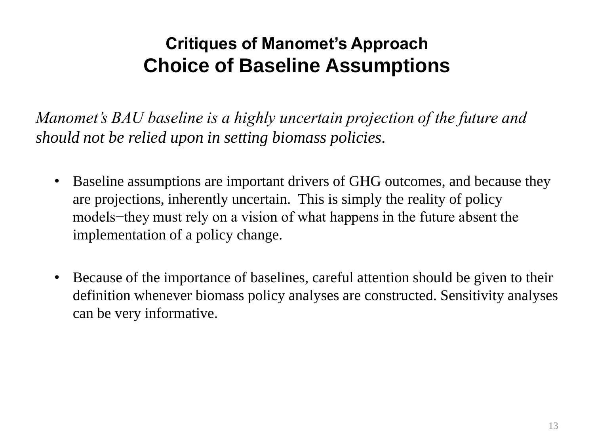### **Critiques of Manomet's Approach Choice of Baseline Assumptions**

*Manomet's BAU baseline is a highly uncertain projection of the future and should not be relied upon in setting biomass policies.*

- Baseline assumptions are important drivers of GHG outcomes, and because they are projections, inherently uncertain. This is simply the reality of policy models−they must rely on a vision of what happens in the future absent the implementation of a policy change.
- Because of the importance of baselines, careful attention should be given to their definition whenever biomass policy analyses are constructed. Sensitivity analyses can be very informative.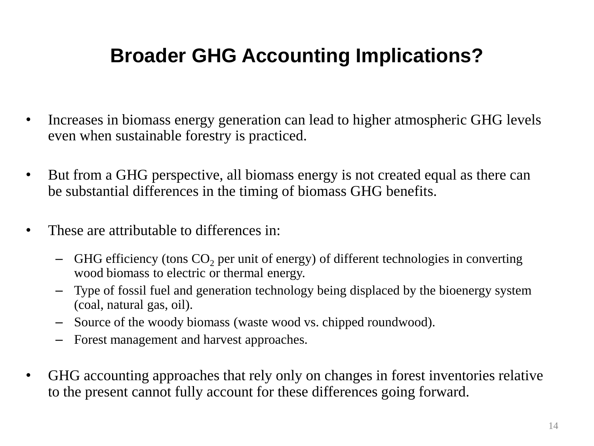# **Broader GHG Accounting Implications?**

- Increases in biomass energy generation can lead to higher atmospheric GHG levels even when sustainable forestry is practiced.
- But from a GHG perspective, all biomass energy is not created equal as there can be substantial differences in the timing of biomass GHG benefits.
- These are attributable to differences in:
	- $-$  GHG efficiency (tons  $CO<sub>2</sub>$  per unit of energy) of different technologies in converting wood biomass to electric or thermal energy.
	- Type of fossil fuel and generation technology being displaced by the bioenergy system (coal, natural gas, oil).
	- Source of the woody biomass (waste wood vs. chipped roundwood).
	- Forest management and harvest approaches.
- GHG accounting approaches that rely only on changes in forest inventories relative to the present cannot fully account for these differences going forward.